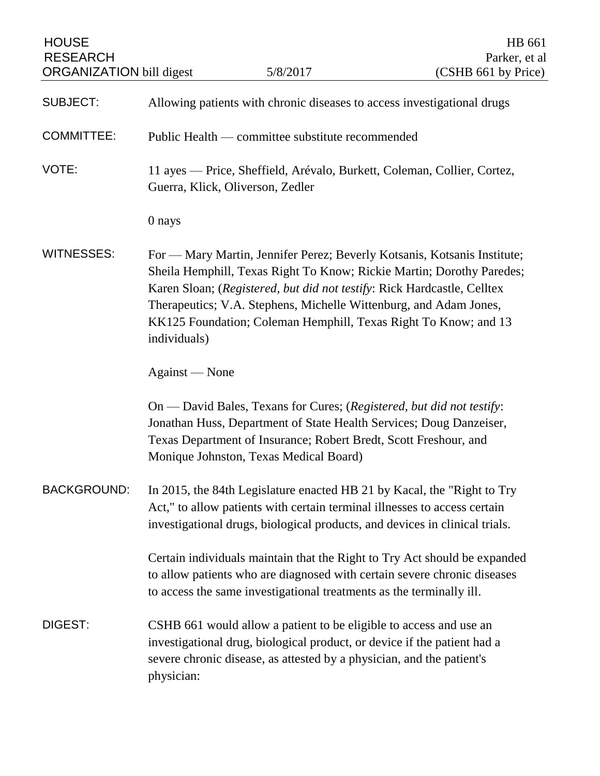| <b>HOUSE</b><br><b>RESEARCH</b><br><b>ORGANIZATION</b> bill digest |                | 5/8/2017                                                                                                                                                                                                                                                   | HB 661<br>Parker, et al<br>(CSHB 661 by Price)                                                                                                    |
|--------------------------------------------------------------------|----------------|------------------------------------------------------------------------------------------------------------------------------------------------------------------------------------------------------------------------------------------------------------|---------------------------------------------------------------------------------------------------------------------------------------------------|
| <b>SUBJECT:</b>                                                    |                | Allowing patients with chronic diseases to access investigational drugs                                                                                                                                                                                    |                                                                                                                                                   |
| <b>COMMITTEE:</b>                                                  |                | Public Health — committee substitute recommended                                                                                                                                                                                                           |                                                                                                                                                   |
| VOTE:                                                              |                | 11 ayes — Price, Sheffield, Arévalo, Burkett, Coleman, Collier, Cortez,<br>Guerra, Klick, Oliverson, Zedler                                                                                                                                                |                                                                                                                                                   |
|                                                                    | 0 nays         |                                                                                                                                                                                                                                                            |                                                                                                                                                   |
| <b>WITNESSES:</b>                                                  | individuals)   | Karen Sloan; (Registered, but did not testify: Rick Hardcastle, Celltex<br>Therapeutics; V.A. Stephens, Michelle Wittenburg, and Adam Jones,<br>KK125 Foundation; Coleman Hemphill, Texas Right To Know; and 13                                            | For — Mary Martin, Jennifer Perez; Beverly Kotsanis, Kotsanis Institute;<br>Sheila Hemphill, Texas Right To Know; Rickie Martin; Dorothy Paredes; |
|                                                                    | Against — None |                                                                                                                                                                                                                                                            |                                                                                                                                                   |
|                                                                    |                | On — David Bales, Texans for Cures; (Registered, but did not testify:<br>Jonathan Huss, Department of State Health Services; Doug Danzeiser,<br>Texas Department of Insurance; Robert Bredt, Scott Freshour, and<br>Monique Johnston, Texas Medical Board) |                                                                                                                                                   |
| <b>BACKGROUND:</b>                                                 |                | In 2015, the 84th Legislature enacted HB 21 by Kacal, the "Right to Try<br>Act," to allow patients with certain terminal illnesses to access certain<br>investigational drugs, biological products, and devices in clinical trials.                        |                                                                                                                                                   |
|                                                                    |                | to allow patients who are diagnosed with certain severe chronic diseases<br>to access the same investigational treatments as the terminally ill.                                                                                                           | Certain individuals maintain that the Right to Try Act should be expanded                                                                         |
| DIGEST:                                                            | physician:     | CSHB 661 would allow a patient to be eligible to access and use an<br>investigational drug, biological product, or device if the patient had a<br>severe chronic disease, as attested by a physician, and the patient's                                    |                                                                                                                                                   |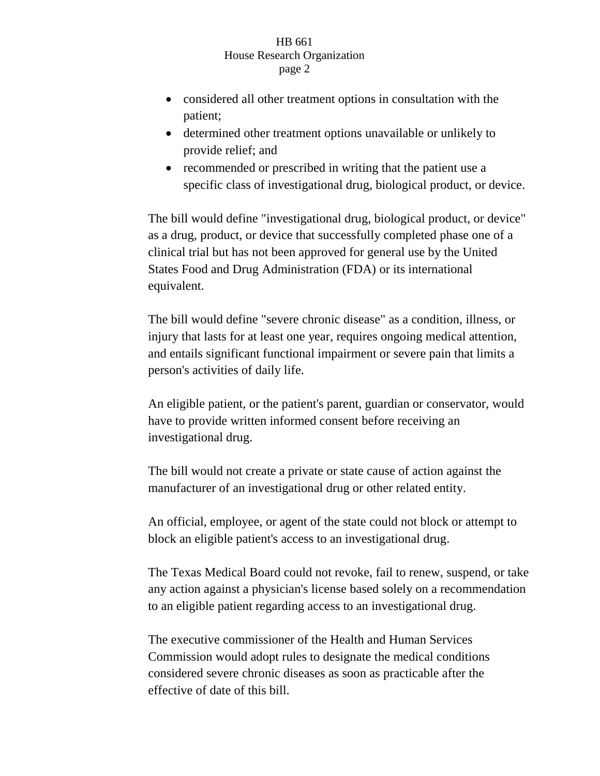## HB 661 House Research Organization page 2

- considered all other treatment options in consultation with the patient;
- determined other treatment options unavailable or unlikely to provide relief; and
- recommended or prescribed in writing that the patient use a specific class of investigational drug, biological product, or device.

The bill would define "investigational drug, biological product, or device" as a drug, product, or device that successfully completed phase one of a clinical trial but has not been approved for general use by the United States Food and Drug Administration (FDA) or its international equivalent.

The bill would define "severe chronic disease" as a condition, illness, or injury that lasts for at least one year, requires ongoing medical attention, and entails significant functional impairment or severe pain that limits a person's activities of daily life.

An eligible patient, or the patient's parent, guardian or conservator, would have to provide written informed consent before receiving an investigational drug.

The bill would not create a private or state cause of action against the manufacturer of an investigational drug or other related entity.

An official, employee, or agent of the state could not block or attempt to block an eligible patient's access to an investigational drug.

The Texas Medical Board could not revoke, fail to renew, suspend, or take any action against a physician's license based solely on a recommendation to an eligible patient regarding access to an investigational drug.

The executive commissioner of the Health and Human Services Commission would adopt rules to designate the medical conditions considered severe chronic diseases as soon as practicable after the effective of date of this bill.